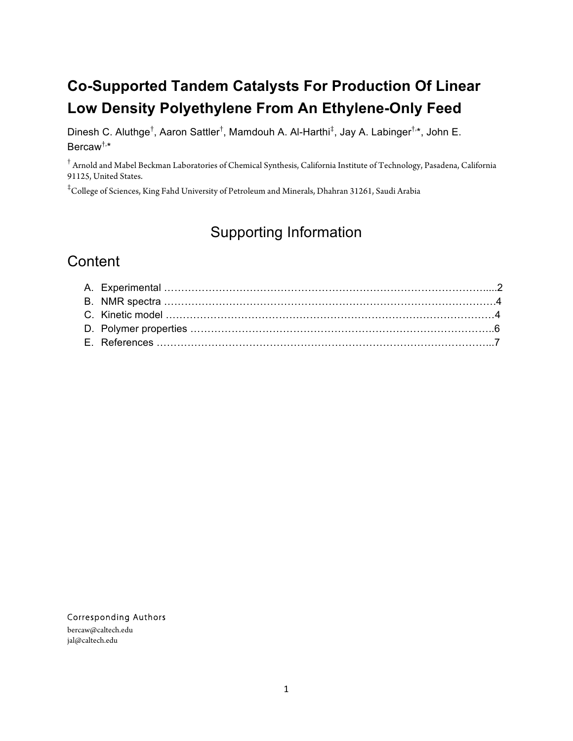## **Co-Supported Tandem Catalysts For Production Of Linear Low Density Polyethylene From An Ethylene-Only Feed**

Dinesh C. Aluthge<sup>†</sup>, Aaron Sattler<sup>†</sup>, Mamdouh A. Al-Harthi<sup>‡</sup>, Jay A. Labinger<sup>†,</sup>\*, John E. Bercaw†, \*

† Arnold and Mabel Beckman Laboratories of Chemical Synthesis, California Institute of Technology, Pasadena, California 91125, United States.

‡ College of Sciences, King Fahd University of Petroleum and Minerals, Dhahran 31261, Saudi Arabia

## Supporting Information

### **Content**

Corresponding Authors

bercaw@caltech.edu jal@caltech.edu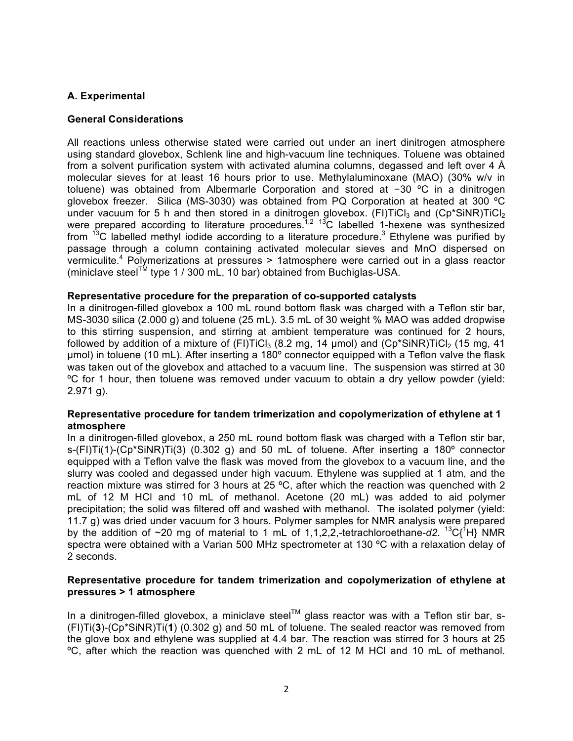#### **A. Experimental**

#### **General Considerations**

All reactions unless otherwise stated were carried out under an inert dinitrogen atmosphere using standard glovebox, Schlenk line and high-vacuum line techniques. Toluene was obtained from a solvent purification system with activated alumina columns, degassed and left over 4 Å molecular sieves for at least 16 hours prior to use. Methylaluminoxane (MAO) (30% w/v in toluene) was obtained from Albermarle Corporation and stored at −30 ºC in a dinitrogen glovebox freezer. Silica (MS-3030) was obtained from PQ Corporation at heated at 300 ºC under vacuum for 5 h and then stored in a dinitrogen glovebox. (FI)TiCl<sub>3</sub> and (Cp\*SiNR)TiCl<sub>2</sub> were prepared according to literature procedures.<sup>1,2</sup> <sup>13</sup>C labelled 1-hexene was synthesized from  $13^{\circ}$ C labelled methyl iodide according to a literature procedure.<sup>3</sup> Ethylene was purified by passage through a column containing activated molecular sieves and MnO dispersed on vermiculite.<sup>4</sup> Polymerizations at pressures > 1atmosphere were carried out in a glass reactor (miniclave steel<sup>TM</sup> type 1 / 300 mL, 10 bar) obtained from Buchiglas-USA.

#### **Representative procedure for the preparation of co-supported catalysts**

In a dinitrogen-filled glovebox a 100 mL round bottom flask was charged with a Teflon stir bar, MS-3030 silica (2.000 g) and toluene (25 mL). 3.5 mL of 30 weight % MAO was added dropwise to this stirring suspension, and stirring at ambient temperature was continued for 2 hours, followed by addition of a mixture of  $(FI)TICI_3$  (8.2 mg, 14 µmol) and  $(Cp^*SiNR)TICI_2$  (15 mg, 41 µmol) in toluene (10 mL). After inserting a 180º connector equipped with a Teflon valve the flask was taken out of the glovebox and attached to a vacuum line. The suspension was stirred at 30 ºC for 1 hour, then toluene was removed under vacuum to obtain a dry yellow powder (yield: 2.971 g).

#### **Representative procedure for tandem trimerization and copolymerization of ethylene at 1 atmosphere**

In a dinitrogen-filled glovebox, a 250 mL round bottom flask was charged with a Teflon stir bar,  $s$ -(FI)Ti(1)-(Cp\*SiNR)Ti(3) (0.302 g) and 50 mL of toluene. After inserting a 180 $^{\circ}$  connector equipped with a Teflon valve the flask was moved from the glovebox to a vacuum line, and the slurry was cooled and degassed under high vacuum. Ethylene was supplied at 1 atm, and the reaction mixture was stirred for 3 hours at 25 ºC, after which the reaction was quenched with 2 mL of 12 M HCl and 10 mL of methanol. Acetone (20 mL) was added to aid polymer precipitation; the solid was filtered off and washed with methanol. The isolated polymer (yield: 11.7 g) was dried under vacuum for 3 hours. Polymer samples for NMR analysis were prepared by the addition of ~20 mg of material to 1 mL of 1,1,2,2,-tetrachloroethane-d2. <sup>13</sup>C{<sup>1</sup>H} NMR spectra were obtained with a Varian 500 MHz spectrometer at 130 °C with a relaxation delay of 2 seconds.

#### **Representative procedure for tandem trimerization and copolymerization of ethylene at pressures > 1 atmosphere**

In a dinitrogen-filled glovebox, a miniclave steel<sup>™</sup> glass reactor was with a Teflon stir bar, s-(FI)Ti(**3**)-(Cp\*SiNR)Ti(**1**) (0.302 g) and 50 mL of toluene. The sealed reactor was removed from the glove box and ethylene was supplied at 4.4 bar. The reaction was stirred for 3 hours at 25 ºC, after which the reaction was quenched with 2 mL of 12 M HCl and 10 mL of methanol.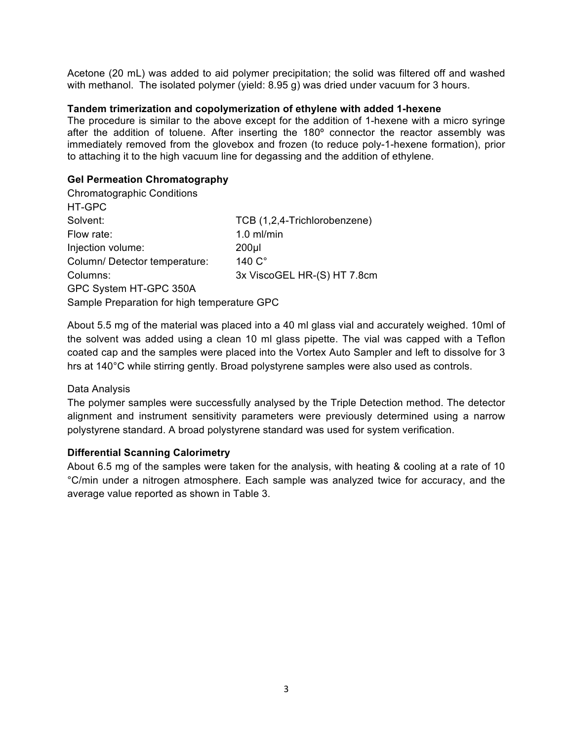Acetone (20 mL) was added to aid polymer precipitation; the solid was filtered off and washed with methanol. The isolated polymer (yield: 8.95 g) was dried under vacuum for 3 hours.

#### **Tandem trimerization and copolymerization of ethylene with added 1-hexene**

The procedure is similar to the above except for the addition of 1-hexene with a micro syringe after the addition of toluene. After inserting the 180º connector the reactor assembly was immediately removed from the glovebox and frozen (to reduce poly-1-hexene formation), prior to attaching it to the high vacuum line for degassing and the addition of ethylene.

#### **Gel Permeation Chromatography**

| <b>Chromatographic Conditions</b>           |                              |  |  |  |  |
|---------------------------------------------|------------------------------|--|--|--|--|
| HT-GPC                                      |                              |  |  |  |  |
| Solvent:                                    | TCB (1,2,4-Trichlorobenzene) |  |  |  |  |
| Flow rate:                                  | $1.0$ ml/min                 |  |  |  |  |
| Injection volume:                           | $200$ µl                     |  |  |  |  |
| Column/Detector temperature:                | 140 C°                       |  |  |  |  |
| Columns:                                    | 3x ViscoGEL HR-(S) HT 7.8cm  |  |  |  |  |
| GPC System HT-GPC 350A                      |                              |  |  |  |  |
| Sample Preparation for high temperature GPC |                              |  |  |  |  |

About 5.5 mg of the material was placed into a 40 ml glass vial and accurately weighed. 10ml of the solvent was added using a clean 10 ml glass pipette. The vial was capped with a Teflon coated cap and the samples were placed into the Vortex Auto Sampler and left to dissolve for 3 hrs at 140°C while stirring gently. Broad polystyrene samples were also used as controls.

#### Data Analysis

The polymer samples were successfully analysed by the Triple Detection method. The detector alignment and instrument sensitivity parameters were previously determined using a narrow polystyrene standard. A broad polystyrene standard was used for system verification.

#### **Differential Scanning Calorimetry**

About 6.5 mg of the samples were taken for the analysis, with heating & cooling at a rate of 10 °C/min under a nitrogen atmosphere. Each sample was analyzed twice for accuracy, and the average value reported as shown in Table 3.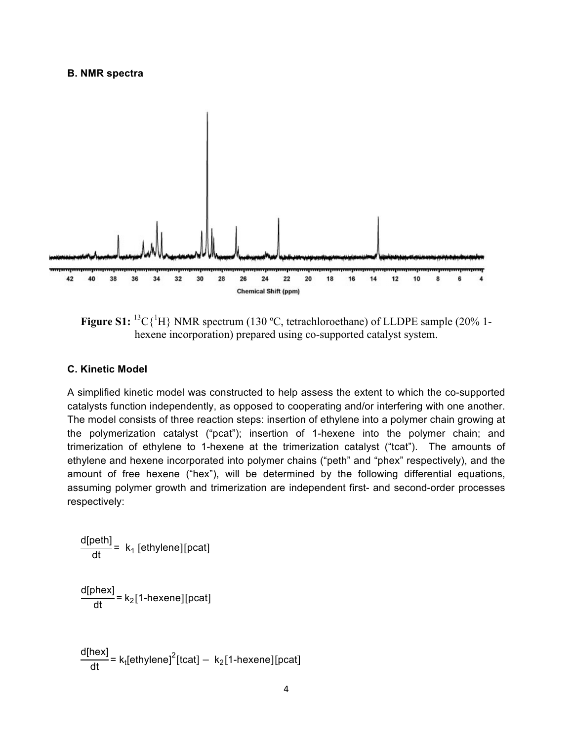#### **B. NMR spectra**



**Figure S1:** <sup>13</sup>C{<sup>1</sup>H} NMR spectrum (130 °C, tetrachloroethane) of LLDPE sample (20% 1hexene incorporation) prepared using co-supported catalyst system.

#### **C. Kinetic Model**

A simplified kinetic model was constructed to help assess the extent to which the co-supported catalysts function independently, as opposed to cooperating and/or interfering with one another. The model consists of three reaction steps: insertion of ethylene into a polymer chain growing at the polymerization catalyst ("pcat"); insertion of 1-hexene into the polymer chain; and trimerization of ethylene to 1-hexene at the trimerization catalyst ("tcat"). The amounts of ethylene and hexene incorporated into polymer chains ("peth" and "phex" respectively), and the amount of free hexene ("hex"), will be determined by the following differential equations, assuming polymer growth and trimerization are independent first- and second-order processes respectively:

$$
\frac{d[peth]}{dt} = k_1 [ethylene][pcat]
$$
  

$$
\frac{d[phex]}{dt} = k_2 [1-hexene][pcat]
$$

d[hex] = k<sub>t</sub>[ethylene]<sup>2</sup>[tcat]  $- k_2$ [1-hexene][pcat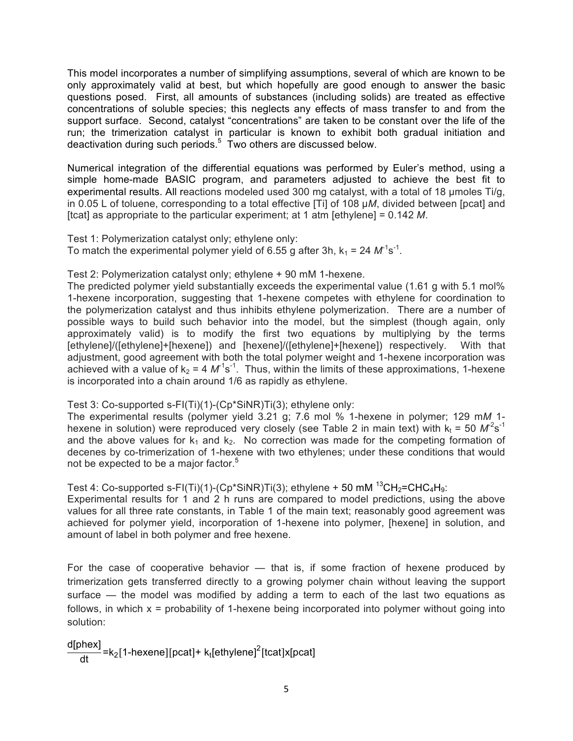This model incorporates a number of simplifying assumptions, several of which are known to be only approximately valid at best, but which hopefully are good enough to answer the basic questions posed. First, all amounts of substances (including solids) are treated as effective concentrations of soluble species; this neglects any effects of mass transfer to and from the support surface. Second, catalyst "concentrations" are taken to be constant over the life of the run; the trimerization catalyst in particular is known to exhibit both gradual initiation and deactivation during such periods. $5$  Two others are discussed below.

Numerical integration of the differential equations was performed by Euler's method, using a simple home-made BASIC program, and parameters adjusted to achieve the best fit to experimental results. All reactions modeled used 300 mg catalyst, with a total of 18 µmoles Ti/g, in 0.05 L of toluene, corresponding to a total effective [Ti] of 108 µ*M*, divided between [pcat] and [tcat] as appropriate to the particular experiment; at 1 atm [ethylene] = 0.142 *M*.

Test 1: Polymerization catalyst only; ethylene only: To match the experimental polymer yield of 6.55 g after 3h,  $k_1 = 24 M^1 s^{-1}$ .

#### Test 2: Polymerization catalyst only; ethylene + 90 mM 1-hexene.

The predicted polymer yield substantially exceeds the experimental value (1.61 g with 5.1 mol%) 1-hexene incorporation, suggesting that 1-hexene competes with ethylene for coordination to the polymerization catalyst and thus inhibits ethylene polymerization. There are a number of possible ways to build such behavior into the model, but the simplest (though again, only approximately valid) is to modify the first two equations by multiplying by the terms [ethylene]/([ethylene]+[hexene]) and [hexene]/([ethylene]+[hexene]) respectively. With that adjustment, good agreement with both the total polymer weight and 1-hexene incorporation was achieved with a value of  $k_2 = 4 \, M^1 s^{-1}$ . Thus, within the limits of these approximations, 1-hexene is incorporated into a chain around 1/6 as rapidly as ethylene.

#### Test 3: Co-supported s-FI(Ti)(1)-(Cp\*SiNR)Ti(3); ethylene only:

The experimental results (polymer yield 3.21 g; 7.6 mol % 1-hexene in polymer; 129 m*M* 1 hexene in solution) were reproduced very closely (see Table 2 in main text) with  $k_t$  = 50  $M^2$ s<sup>-1</sup> and the above values for  $k_1$  and  $k_2$ . No correction was made for the competing formation of decenes by co-trimerization of 1-hexene with two ethylenes; under these conditions that would not be expected to be a major factor.<sup>5</sup>

Test 4: Co-supported s-FI(Ti)(1)-(Cp\*SiNR)Ti(3); ethylene + 50 mM  $^{13}CH_2=CHC_4H_9$ :

Experimental results for 1 and 2 h runs are compared to model predictions, using the above values for all three rate constants, in Table 1 of the main text; reasonably good agreement was achieved for polymer yield, incorporation of 1-hexene into polymer, [hexene] in solution, and amount of label in both polymer and free hexene.

For the case of cooperative behavior — that is, if some fraction of hexene produced by trimerization gets transferred directly to a growing polymer chain without leaving the support surface — the model was modified by adding a term to each of the last two equations as follows, in which  $x =$  probability of 1-hexene being incorporated into polymer without going into solution:

d[phex] dt =k2 1-hexene pcat + kt[ethylene]<sup>2</sup> tcat x[pcat]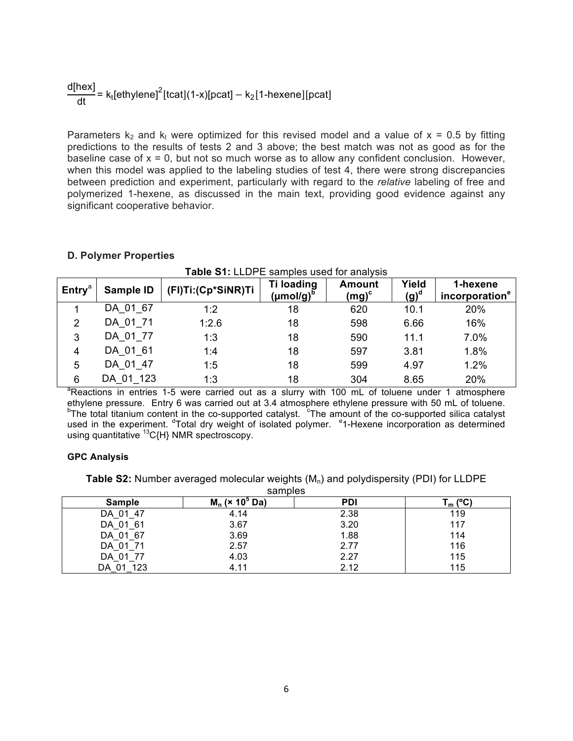# d[hex] dt = kt[ethylene]<sup>2</sup> tcat (1-x)[pcat] <sup>−</sup> k2 1-hexene pcat

Parameters  $k_2$  and  $k_t$  were optimized for this revised model and a value of  $x = 0.5$  by fitting predictions to the results of tests 2 and 3 above; the best match was not as good as for the baseline case of  $x = 0$ , but not so much worse as to allow any confident conclusion. However, when this model was applied to the labeling studies of test 4, there were strong discrepancies between prediction and experiment, particularly with regard to the *relative* labeling of free and polymerized 1-hexene, as discussed in the main text, providing good evidence against any significant cooperative behavior.

#### **D. Polymer Properties**

| $\mathsf{Entry}^a$ | Sample ID | (FI)Ti:(Cp*SiNR)Ti | Ti loading<br>(µmol/g) <sup>b</sup> | <b>Amount</b><br>(mg) $^{\rm c}$ | Yield<br>$(g)^d$ | 1-hexene<br>incorporation <sup>e</sup> |
|--------------------|-----------|--------------------|-------------------------------------|----------------------------------|------------------|----------------------------------------|
|                    | DA 01 67  | 1:2                | 18                                  | 620                              | 10.1             | 20%                                    |
| 2                  | DA 01 71  | 1:2.6              | 18                                  | 598                              | 6.66             | 16%                                    |
| 3                  | DA 01 77  | 1:3                | 18                                  | 590                              | 11.1             | 7.0%                                   |
| 4                  | DA 01 61  | 1:4                | 18                                  | 597                              | 3.81             | 1.8%                                   |
| 5                  | DA 01 47  | 1:5                | 18                                  | 599                              | 4.97             | 1.2%                                   |
| 6                  | DA 01 123 | 1:3                | 18                                  | 304                              | 8.65             | 20%                                    |

<sup>a</sup>Reactions in entries 1-5 were carried out as a slurry with 100 mL of toluene under 1 atmosphere ethylene pressure. Entry 6 was carried out at 3.4 atmosphere ethylene pressure with 50 mL of toluene. The total titanium content in the co-supported catalyst. <sup>c</sup>The amount of the co-supported silica catalyst used in the experiment. <sup>d</sup>Total dry weight of isolated polymer. <sup>e</sup>1-Hexene incorporation as determined using quantitative  $^{13}$ C{H} NMR spectroscopy.

#### **GPC Analysis**

**Table S2:** Number averaged molecular weights (M<sub>n</sub>) and polydispersity (PDI) for LLDPE

| samples       |                              |            |              |  |  |  |  |  |
|---------------|------------------------------|------------|--------------|--|--|--|--|--|
| <b>Sample</b> | $M_n$ (× 10 <sup>o</sup> Da) | <b>PDI</b> | (C)<br>l m l |  |  |  |  |  |
| DA 01 47      | 4.14                         | 2.38       | 119          |  |  |  |  |  |
| DA 01 61      | 3.67                         | 3.20       | 117          |  |  |  |  |  |
| DA 01 67      | 3.69                         | 1.88       | 114          |  |  |  |  |  |
| DA 01 71      | 2.57                         | 2.77       | 116          |  |  |  |  |  |
| DA 01 77      | 4.03                         | 2.27       | 115          |  |  |  |  |  |
| DA 01 123     | 4.11                         | 2.12       | 115          |  |  |  |  |  |